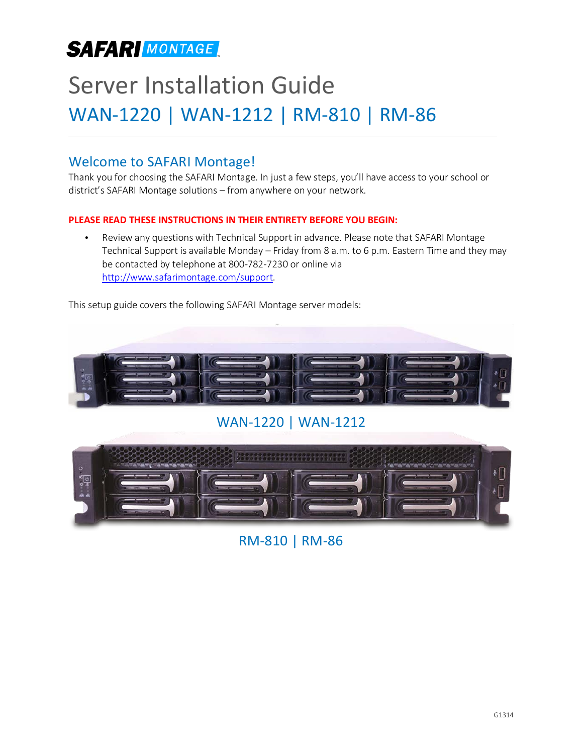## **SAFARI MONTAGE**

# Server Installation Guide WAN-1220 | WAN-1212 | RM-810 | RM-86

### Welcome to SAFARI Montage!

Thank you for choosing the SAFARI Montage. In just a few steps, you'll have access to your school or district's SAFARI Montage solutions – from anywhere on your network.

### **PLEASE READ THESE INSTRUCTIONS IN THEIR ENTIRETY BEFORE YOU BEGIN:**

• Review any questions with Technical Support in advance. Please note that SAFARI Montage Technical Support is available Monday – Friday from 8 a.m. to 6 p.m. Eastern Time and they may be contacted by telephone at 800-782-7230 or online via [http://www.safarimontage.com/support.](http://www.safarimontage.com/support)

This setup guide covers the following SAFARI Montage server models:



WAN-1220 | WAN-1212



RM-810 | RM-86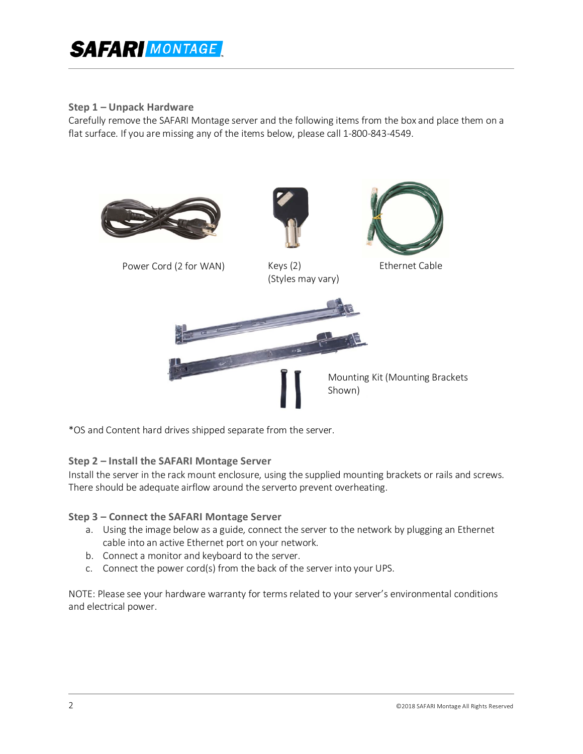## **SAFAR MONTAGE**

### **Step 1 – Unpack Hardware**

Carefully remove the SAFARI Montage server and the following items from the box and place them on a flat surface. If you are missing any of the items below, please call 1-800-843-4549.



\*OS and Content hard drives shipped separate from the server.

### **Step 2 – Install the SAFARI Montage Server**

Install the server in the rack mount enclosure, using the supplied mounting brackets or rails and screws. There should be adequate airflow around the serverto prevent overheating.

### **Step 3 – Connect the SAFARI Montage Server**

- a. Using the image below as a guide, connect the server to the network by plugging an Ethernet cable into an active Ethernet port on your network.
- b. Connect a monitor and keyboard to the server.
- c. Connect the power cord(s) from the back of the server into your UPS.

NOTE: Please see your hardware warranty for terms related to your server's environmental conditions and electrical power.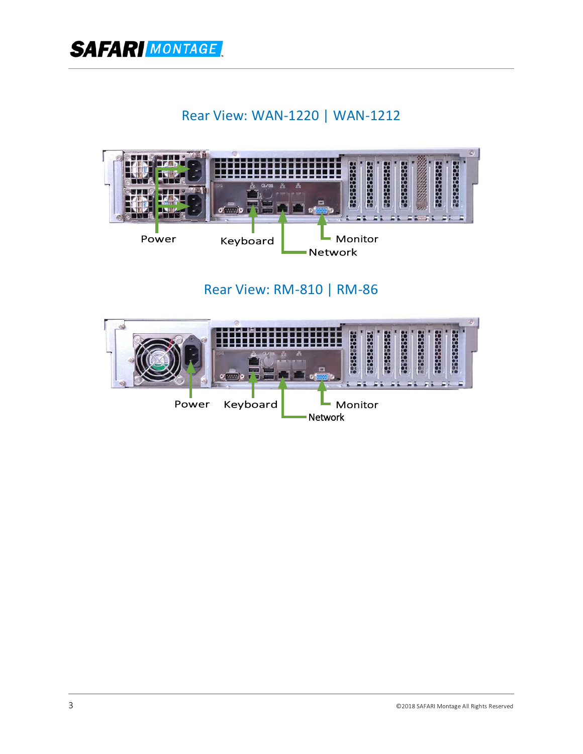**SAFAR** MONTAGE

### Rear View: WAN-1220 | WAN-1212



Rear View: RM-810 | RM-86

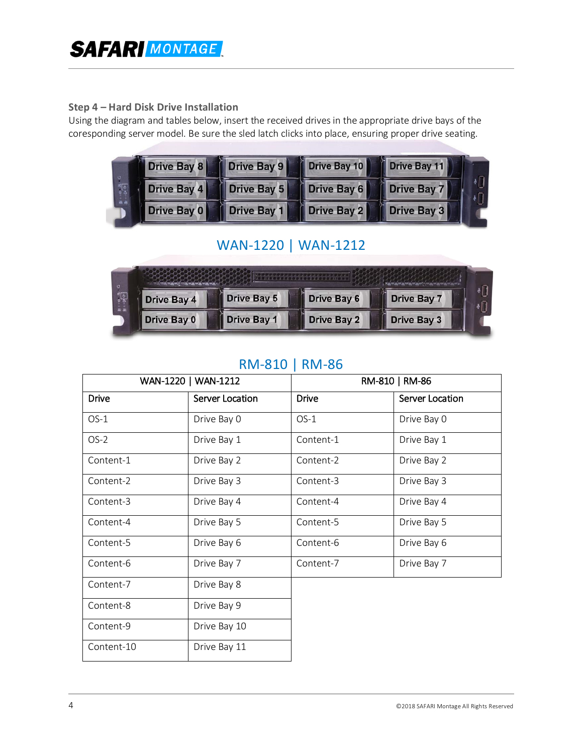### **Step 4 – Hard Disk Drive Installation**

Using the diagram and tables below, insert the received drives in the appropriate drive bays of the coresponding server model. Be sure the sled latch clicks into place, ensuring proper drive seating.

|  |             |                                                             | Drive Bay 8 Drive Bay 9 Drive Bay 10 Drive Bay 11 |  |  |
|--|-------------|-------------------------------------------------------------|---------------------------------------------------|--|--|
|  |             | Drive Bay 4     Drive Bay 5     Drive Bay 6     Drive Bay 7 |                                                   |  |  |
|  | Drive Bay 0 | Drive Bay 1 Drive Bay 2 Drive Bay 3                         |                                                   |  |  |

### WAN-1220 | WAN-1212

| $\circ$<br>्<br>बाला<br>बाल<br>å å |                    |                                          |             |             |  |  |  |  |
|------------------------------------|--------------------|------------------------------------------|-------------|-------------|--|--|--|--|
|                                    | <b>Drive Bay 4</b> | <b>Drive Bay 5</b><br><b>Drive Bay 6</b> |             | Drive Bay 7 |  |  |  |  |
|                                    | Drive Bay 0        | Drive Bay 1                              | Drive Bay 2 | Drive Bay 3 |  |  |  |  |

### RM-810 | RM-86

|              | WAN-1220   WAN-1212 | RM-810   RM-86 |                 |  |  |
|--------------|---------------------|----------------|-----------------|--|--|
| <b>Drive</b> | Server Location     | <b>Drive</b>   | Server Location |  |  |
| $OS-1$       | Drive Bay 0         | $OS-1$         | Drive Bay 0     |  |  |
| $OS-2$       | Drive Bay 1         | Content-1      | Drive Bay 1     |  |  |
| Content-1    | Drive Bay 2         | Content-2      | Drive Bay 2     |  |  |
| Content-2    | Drive Bay 3         | Content-3      | Drive Bay 3     |  |  |
| Content-3    | Drive Bay 4         | Content-4      | Drive Bay 4     |  |  |
| Content-4    | Drive Bay 5         | Content-5      | Drive Bay 5     |  |  |
| Content-5    | Drive Bay 6         | Content-6      | Drive Bay 6     |  |  |
| Content-6    | Drive Bay 7         | Content-7      | Drive Bay 7     |  |  |
| Content-7    | Drive Bay 8         |                |                 |  |  |
| Content-8    | Drive Bay 9         |                |                 |  |  |
| Content-9    | Drive Bay 10        |                |                 |  |  |
| Content-10   | Drive Bay 11        |                |                 |  |  |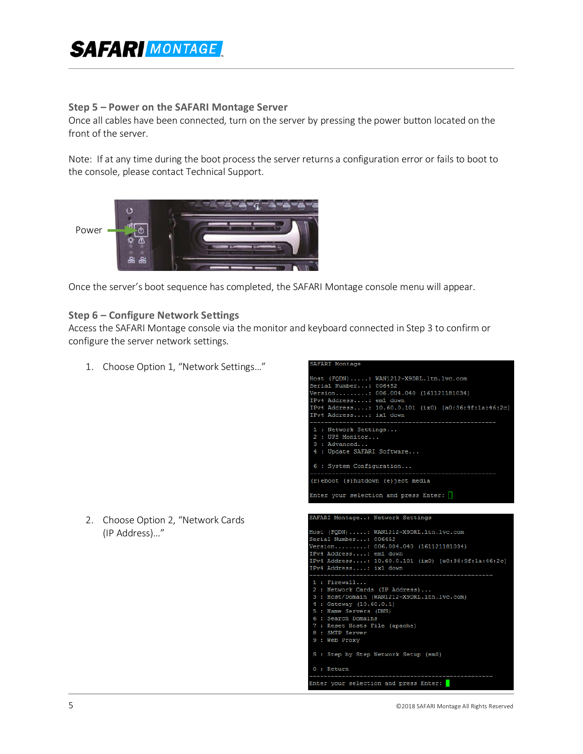## **SAFARI MONTAGE**

#### **Step 5 – Power on the SAFARI Montage Server**

Once all cables have been connected, turn on the server by pressing the power button located on the front of the server.

Note: If at any time during the boot process the server returns a configuration error or fails to boot to the console, please contact Technical Support.



Once the server's boot sequence has completed, the SAFARI Montage console menu will appear.

#### **Step 6 – Configure Network Settings**

Access the SAFARI Montage console via the monitor and keyboard connected in Step 3 to confirm or configure the server network settings.

**AFARI Montage** 

- 1. Choose Option 1, "Network Settings…"
- Host (FQDN) .....: WAN1212-X9DRL.ltn.lvc.com Serial Number...: 006452 ------ ----------- ----- -----<br>Version........: 006.004.040 (161121181034) IPv4 Address....: em1 down IPv4 Address....: 10.60.0.101 (ix0) [a0:36:9f:1a:46:2c] IPv4 Address....: ix1 down : Network Settings... 2 : UPS Monitor...  $3:$  Advanced... 4 : Update SAFARI Software... 6 : System Configuration...  $(r)$  eboot  $(s)$  hutdown  $(e)$  ject media Enter your selection and press Enter:  $\Box$ SAFARI Montage..: Network Settings Host (FQDN).....: WAN1212-X9DRL.ltn.lvc.com Serial Number...: 006452 Version.........: 006.004.040 (161121181034) IPv4 Address....: em1 down Pv4 Address....: 10.60.0.101 (ix0) [a0:36:9f:1a:46:2c] IPv4 Address....: ix1 down  $\mathtt{1}\ :\ \mathtt{Firewall}\ldots$ 2 : Network Cards (IP Address)...<br>3 : Host/Domain (WAN1212-X9DRL.ltn.lvc.com) 4 : Gateway (10.60.0.1) : Name Servers (DNS) 6 : Search Domains : Reset Hosts File (apache) SMTP Server 9 : Web Proxy S : Step by Step Network Setup (em0)  $0:$  Return Enter your selection and press Enter:
- 2. Choose Option 2, "Network Cards (IP Address)…"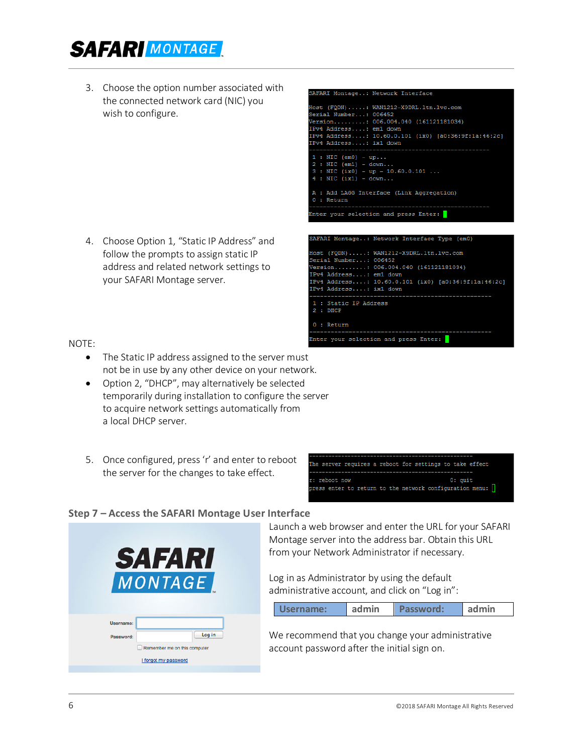## **SAFAR** MONTAGE

3. Choose the option number associated with the connected network card (NIC) you wish to configure.

4. Choose Option 1, "Static IP Address" and follow the prompts to assign static IP address and related network settings to your SAFARI Montage server.



NOTE:

- The Static IP address assigned to the server must not be in use by any other device on your network.
- Option 2, "DHCP", may alternatively be selected temporarily during installation to configure the server to acquire network settings automatically from a local DHCP server.
- 5. Once configured, press 'r' and enter to reboot the server for the changes to take effect.

|               |  |  |  |  |         | The server requires a reboot for settings to take effect |  |
|---------------|--|--|--|--|---------|----------------------------------------------------------|--|
|               |  |  |  |  |         |                                                          |  |
| r: reboot now |  |  |  |  | 0: quit |                                                          |  |
|               |  |  |  |  |         | press enter to return to the network configuration menu: |  |

Enter your selection and press Enter:

### **Step 7 – Access the SAFARI Montage User Interface**



Launch a web browser and enter the URL for your SAFARI Montage server into the address bar. Obtain this URL from your Network Administrator if necessary.

Log in as Administrator by using the default administrative account, and click on "Log in":

|  | Username: | admin | Password: | admin |
|--|-----------|-------|-----------|-------|
|--|-----------|-------|-----------|-------|

We recommend that you change your administrative account password after the initial sign on.